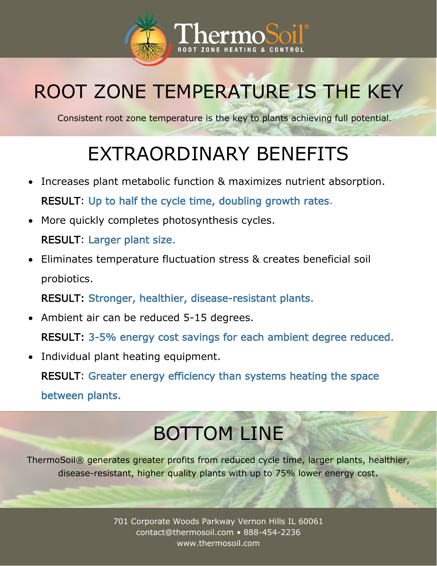

## ROOT ZONE TEMPERATURE IS THE KEY

Consistent root zone temperature is the key to plants achieving full potential.

## EXTRAORDINARY BENEFITS

- Increases plant metabolic function & maximizes nutrient absorption. RESULT: Up to half the cycle time, doubling growth rates.
- More quickly completes photosynthesis cycles. RESULT: Larger plant size.
- Eliminates temperature fluctuation stress & creates beneficial soil probiotics.

RESULT: Stronger, healthier, disease-resistant plants.

• Ambient air can be reduced 5-15 degrees.

RESULT: 3-5% energy cost savings for each ambient degree reduced.

Individual plant heating equipment.

RESULT: Greater energy efficiency than systems heating the space between plants.

## BOTTOM LINE

ThermoSoil® generates greater profits from reduced cycle time, larger plants, healthier, disease-resistant, higher quality plants with up to 75% lower energy cost.

> 701 Corporate Woods Parkway Vernon Hills IL 60061 contact@thermosoil.com • 888-454-2236 www.thermosoil.com